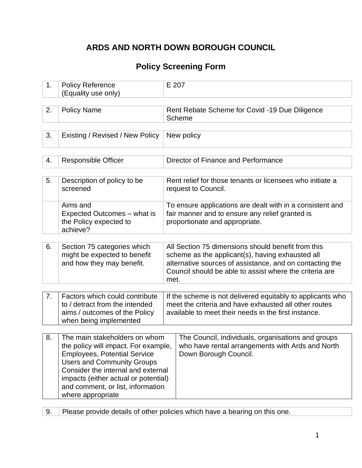## **ARDS AND NORTH DOWN BOROUGH COUNCIL**

### **Policy Screening Form**

| 1. | <b>Policy Reference</b><br>(Equality use only)                                                                                                                                                                                                                                            | E 207                                                                                                                                                                                                                                 |  |  |  |  |
|----|-------------------------------------------------------------------------------------------------------------------------------------------------------------------------------------------------------------------------------------------------------------------------------------------|---------------------------------------------------------------------------------------------------------------------------------------------------------------------------------------------------------------------------------------|--|--|--|--|
|    |                                                                                                                                                                                                                                                                                           |                                                                                                                                                                                                                                       |  |  |  |  |
| 2. | <b>Policy Name</b>                                                                                                                                                                                                                                                                        | Rent Rebate Scheme for Covid -19 Due Diligence<br><b>Scheme</b>                                                                                                                                                                       |  |  |  |  |
|    |                                                                                                                                                                                                                                                                                           |                                                                                                                                                                                                                                       |  |  |  |  |
| 3. | Existing / Revised / New Policy                                                                                                                                                                                                                                                           | New policy                                                                                                                                                                                                                            |  |  |  |  |
|    |                                                                                                                                                                                                                                                                                           |                                                                                                                                                                                                                                       |  |  |  |  |
| 4. | <b>Responsible Officer</b>                                                                                                                                                                                                                                                                | Director of Finance and Performance                                                                                                                                                                                                   |  |  |  |  |
|    |                                                                                                                                                                                                                                                                                           |                                                                                                                                                                                                                                       |  |  |  |  |
| 5. | Description of policy to be<br>screened                                                                                                                                                                                                                                                   | Rent relief for those tenants or licensees who initiate a<br>request to Council.                                                                                                                                                      |  |  |  |  |
|    | Aims and<br>Expected Outcomes - what is<br>the Policy expected to<br>achieve?                                                                                                                                                                                                             | To ensure applications are dealt with in a consistent and<br>fair manner and to ensure any relief granted is<br>proportionate and appropriate.                                                                                        |  |  |  |  |
|    |                                                                                                                                                                                                                                                                                           |                                                                                                                                                                                                                                       |  |  |  |  |
| 6. | Section 75 categories which<br>might be expected to benefit<br>and how they may benefit.                                                                                                                                                                                                  | All Section 75 dimensions should benefit from this<br>scheme as the applicant(s), having exhausted all<br>alternative sources of assistance, and on contacting the<br>Council should be able to assist where the criteria are<br>met. |  |  |  |  |
|    |                                                                                                                                                                                                                                                                                           |                                                                                                                                                                                                                                       |  |  |  |  |
| 7. | Factors which could contribute<br>to / detract from the intended<br>aims / outcomes of the Policy<br>when being implemented                                                                                                                                                               | If the scheme is not delivered equitably to applicants who<br>meet the criteria and have exhausted all other routes<br>available to meet their needs in the first instance.                                                           |  |  |  |  |
|    |                                                                                                                                                                                                                                                                                           |                                                                                                                                                                                                                                       |  |  |  |  |
| 8. | The main stakeholders on whom<br>the policy will impact. For example,<br><b>Employees, Potential Service</b><br><b>Users and Community Groups</b><br>Consider the internal and external<br>impacts (either actual or potential)<br>and comment, or list, information<br>where appropriate | The Council, individuals, organisations and groups<br>who have rental arrangements with Ards and North<br>Down Borough Council.                                                                                                       |  |  |  |  |

9. Please provide details of other policies which have a bearing on this one.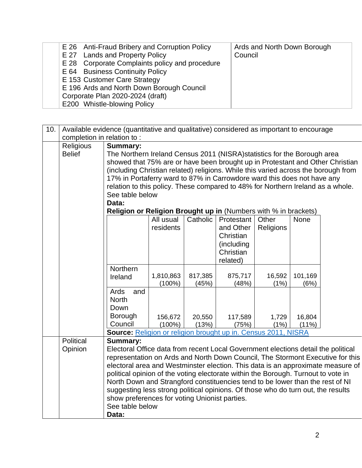| E 26 Anti-Fraud Bribery and Corruption Policy  | Ards and North Down Borough |
|------------------------------------------------|-----------------------------|
| E 27 Lands and Property Policy                 | Council                     |
| E 28 Corporate Complaints policy and procedure |                             |
| E 64 Business Continuity Policy                |                             |
| E 153 Customer Care Strategy                   |                             |
| E 196 Ards and North Down Borough Council      |                             |
| Corporate Plan 2020-2024 (draft)               |                             |
| E200 Whistle-blowing Policy                    |                             |
|                                                |                             |

|     | Available evidence (quantitative and qualitative) considered as important to encourage |                                                                                    |                                                                        |          |            |           |          |  |
|-----|----------------------------------------------------------------------------------------|------------------------------------------------------------------------------------|------------------------------------------------------------------------|----------|------------|-----------|----------|--|
| 10. |                                                                                        |                                                                                    |                                                                        |          |            |           |          |  |
|     | completion in relation to:                                                             |                                                                                    |                                                                        |          |            |           |          |  |
|     | Religious                                                                              | <b>Summary:</b>                                                                    |                                                                        |          |            |           |          |  |
|     | <b>Belief</b>                                                                          | The Northern Ireland Census 2011 (NISRA) statistics for the Borough area           |                                                                        |          |            |           |          |  |
|     |                                                                                        | showed that 75% are or have been brought up in Protestant and Other Christian      |                                                                        |          |            |           |          |  |
|     |                                                                                        | (including Christian related) religions. While this varied across the borough from |                                                                        |          |            |           |          |  |
|     |                                                                                        | 17% in Portaferry ward to 87% in Carrowdore ward this does not have any            |                                                                        |          |            |           |          |  |
|     |                                                                                        | relation to this policy. These compared to 48% for Northern Ireland as a whole.    |                                                                        |          |            |           |          |  |
|     |                                                                                        | See table below                                                                    |                                                                        |          |            |           |          |  |
|     |                                                                                        | Data:                                                                              |                                                                        |          |            |           |          |  |
|     |                                                                                        |                                                                                    | <b>Religion or Religion Brought up in (Numbers with % in brackets)</b> |          |            |           |          |  |
|     |                                                                                        |                                                                                    | All usual                                                              | Catholic | Protestant | Other     | None     |  |
|     |                                                                                        |                                                                                    | residents                                                              |          |            |           |          |  |
|     |                                                                                        |                                                                                    |                                                                        |          | and Other  | Religions |          |  |
|     |                                                                                        |                                                                                    |                                                                        |          | Christian  |           |          |  |
|     |                                                                                        |                                                                                    |                                                                        |          | (including |           |          |  |
|     |                                                                                        |                                                                                    |                                                                        |          | Christian  |           |          |  |
|     |                                                                                        |                                                                                    |                                                                        |          | related)   |           |          |  |
|     |                                                                                        | Northern                                                                           |                                                                        |          |            |           |          |  |
|     |                                                                                        | Ireland                                                                            | 1,810,863                                                              | 817,385  | 875,717    | 16,592    | 101,169  |  |
|     |                                                                                        |                                                                                    | $(100\%)$                                                              | (45%)    | (48%)      | (1%)      | (6%)     |  |
|     |                                                                                        | Ards<br>and                                                                        |                                                                        |          |            |           |          |  |
|     |                                                                                        | <b>North</b>                                                                       |                                                                        |          |            |           |          |  |
|     |                                                                                        | Down                                                                               |                                                                        |          |            |           |          |  |
|     |                                                                                        | Borough                                                                            | 156,672                                                                | 20,550   | 117,589    | 1,729     | 16,804   |  |
|     |                                                                                        | Council                                                                            | $(100\%)$                                                              | (13%)    | (75%)      | (1%)      | $(11\%)$ |  |
|     |                                                                                        | Source: Religion or religion brought up in. Census 2011, NISRA                     |                                                                        |          |            |           |          |  |
|     | Political                                                                              | <b>Summary:</b>                                                                    |                                                                        |          |            |           |          |  |
|     | Opinion                                                                                | Electoral Office data from recent Local Government elections detail the political  |                                                                        |          |            |           |          |  |
|     |                                                                                        | representation on Ards and North Down Council, The Stormont Executive for this     |                                                                        |          |            |           |          |  |
|     |                                                                                        | electoral area and Westminster election. This data is an approximate measure of    |                                                                        |          |            |           |          |  |
|     |                                                                                        | political opinion of the voting electorate within the Borough. Turnout to vote in  |                                                                        |          |            |           |          |  |
|     |                                                                                        | North Down and Strangford constituencies tend to be lower than the rest of NI      |                                                                        |          |            |           |          |  |
|     |                                                                                        | suggesting less strong political opinions. Of those who do turn out, the results   |                                                                        |          |            |           |          |  |
|     |                                                                                        | show preferences for voting Unionist parties.                                      |                                                                        |          |            |           |          |  |
|     |                                                                                        | See table below                                                                    |                                                                        |          |            |           |          |  |
|     |                                                                                        |                                                                                    |                                                                        |          |            |           |          |  |
|     |                                                                                        | Data:                                                                              |                                                                        |          |            |           |          |  |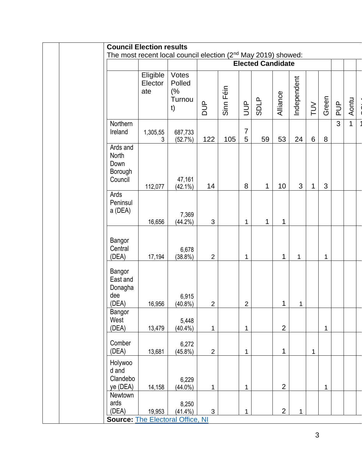| <b>Council Election results</b>                                           |                            |                                       |                          |           |                     |              |                |              |             |             |                |              |
|---------------------------------------------------------------------------|----------------------------|---------------------------------------|--------------------------|-----------|---------------------|--------------|----------------|--------------|-------------|-------------|----------------|--------------|
| The most recent local council election (2 <sup>nd</sup> May 2019) showed: |                            |                                       |                          |           |                     |              |                |              |             |             |                |              |
|                                                                           |                            |                                       | <b>Elected Candidate</b> |           |                     |              |                |              |             |             |                |              |
|                                                                           | Eligible<br>Elector<br>ate | Votes<br>Polled<br>(%<br>Turnou<br>t) | <b>AUD</b>               | Sinn Féin | <b>AUD</b>          | <b>SDLP</b>  | Alliance       | Independent  | $\geq$      | Green       | AUP            | Aontu        |
| Northern<br>Ireland                                                       | 1,305,55<br>3              | 687,733<br>(52.7%)                    | 122                      | 105       | $\overline{7}$<br>5 | 59           | 53             | 24           | 6           | $\bf 8$     | $\overline{3}$ | $\mathbf{1}$ |
| Ards and<br>North<br>Down<br>Borough<br>Council                           | 112,077                    | 47,161<br>$(42.1\%)$                  | 14                       |           | 8                   | $\mathbf{1}$ | 10             | 3            | 1           | 3           |                |              |
| Ards<br>Peninsul<br>a (DEA)                                               | 16,656                     | 7,369<br>$(44.2\%)$                   | 3                        |           | $\mathbf{1}$        | $\mathbf{1}$ | 1              |              |             |             |                |              |
| Bangor<br>Central<br>(DEA)                                                | 17,194                     | 6,678<br>$(38.8\%)$                   | $\overline{2}$           |           | $\mathbf 1$         |              | 1              | $\mathbf{1}$ |             | 1           |                |              |
| Bangor<br>East and<br>Donagha<br>dee<br>(DEA)                             | 16,956                     | 6,915<br>$(40.8\%)$                   | $\overline{2}$           |           | $\overline{2}$      |              | $\mathbf 1$    | 1            |             |             |                |              |
| Bangor<br>West<br>(DEA)                                                   | 13,479                     | 5,448<br>$(40.4\%)$                   | 1                        |           | $\mathbf{1}$        |              | $\overline{2}$ |              |             | $\mathbf 1$ |                |              |
| Comber<br>(DEA)                                                           | 13,681                     | 6,272<br>(45.8%)                      | $\overline{2}$           |           | $\mathbf{1}$        |              | 1              |              | $\mathbf 1$ |             |                |              |
| Holywoo<br>d and<br>Clandebo<br>ye (DEA)                                  | 14,158                     | 6,229<br>$(44.0\%)$                   | $\mathbf{1}$             |           | $\mathbf{1}$        |              | $\overline{2}$ |              |             | 1           |                |              |
| Newtown<br>ards<br>(DEA)<br><b>Source: The Electoral Office, NI</b>       | 19,953                     | 8,250<br>$(41.4\%)$                   | $\mathfrak{S}$           |           | $\mathbf 1$         |              | $\overline{2}$ | 1            |             |             |                |              |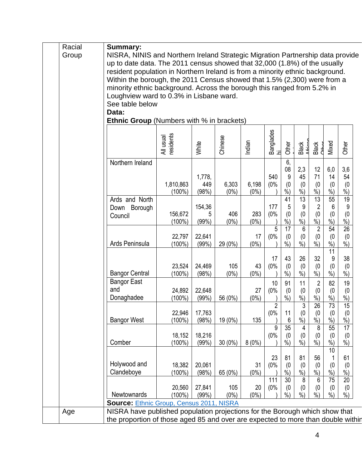| Racial | <b>Summary:</b>                                                                                                                                            |                        |                        |                  |                  |                       |                          |                                         |                                             |                                         |                                         |  |
|--------|------------------------------------------------------------------------------------------------------------------------------------------------------------|------------------------|------------------------|------------------|------------------|-----------------------|--------------------------|-----------------------------------------|---------------------------------------------|-----------------------------------------|-----------------------------------------|--|
| Group  | NISRA, NINIS and Northern Ireland Strategic Migration Partnership data provide                                                                             |                        |                        |                  |                  |                       |                          |                                         |                                             |                                         |                                         |  |
|        | up to date data. The 2011 census showed that 32,000 (1.8%) of the usually<br>resident population in Northern Ireland is from a minority ethnic background. |                        |                        |                  |                  |                       |                          |                                         |                                             |                                         |                                         |  |
|        | Within the borough, the 2011 Census showed that 1.5% (2,300) were from a                                                                                   |                        |                        |                  |                  |                       |                          |                                         |                                             |                                         |                                         |  |
|        | minority ethnic background. Across the borough this ranged from 5.2% in                                                                                    |                        |                        |                  |                  |                       |                          |                                         |                                             |                                         |                                         |  |
|        | Loughview ward to 0.3% in Lisbane ward.<br>See table below                                                                                                 |                        |                        |                  |                  |                       |                          |                                         |                                             |                                         |                                         |  |
|        | Data:                                                                                                                                                      |                        |                        |                  |                  |                       |                          |                                         |                                             |                                         |                                         |  |
|        | <b>Ethnic Group</b> (Numbers with % in brackets)                                                                                                           |                        |                        |                  |                  |                       |                          |                                         |                                             |                                         |                                         |  |
|        |                                                                                                                                                            | residents<br>All usual | White                  | Chinese          | Indian           | Banglades<br>hi       | Other                    | Black<br>African                        | Black<br>CHbor                              | Mixed                                   | Other                                   |  |
|        | Northern Ireland                                                                                                                                           |                        |                        |                  |                  |                       | 6,<br>08                 | 2,3                                     | 12                                          | 6,0                                     | 3,6                                     |  |
|        |                                                                                                                                                            | 1,810,863<br>$(100\%)$ | 1,778,<br>449<br>(98%) | 6,303<br>$(0\%)$ | 6,198<br>$(0\%)$ | 540<br>(0%            | 9<br>(0)<br>$%$ )        | 45<br>(0)<br>$\frac{9}{0}$              | 71<br>(0)<br>%                              | 14<br>(0)<br>$%$ )                      | 54<br>(0)<br>$\frac{0}{0}$              |  |
|        | Ards and North                                                                                                                                             |                        |                        |                  |                  |                       | 41                       | 13                                      | 13                                          | 55                                      | 19                                      |  |
|        | Down Borough<br>Council                                                                                                                                    | 156,672                | 154,36<br>5            | 406              | 283              | 177<br>(0%            | 5<br>(0)                 | 9<br>(0)                                | $\overline{2}$<br>(0)                       | $6\,$<br>(0)                            | $9\,$<br>(0)                            |  |
|        |                                                                                                                                                            | $(100\%)$              | (99%)                  | $(0\%)$          | $(0\%)$          |                       | $%$ )                    | $%$ )                                   | $\frac{9}{6}$                               | $%$ )                                   | $\frac{0}{0}$                           |  |
|        | Ards Peninsula                                                                                                                                             | 22,797<br>$(100\%)$    | 22,641<br>(99%)        | 29 (0%)          | 17<br>$(0\%)$    | 5<br>(0%              | 17<br>(0)<br>$%$ )       | $6\phantom{1}6$<br>(0)<br>$\frac{9}{6}$ | $\overline{2}$<br>(0)<br>$\frac{9}{6}$      | 54<br>(0)<br>$%$ )                      | $\overline{26}$<br>(0)<br>$\frac{9}{6}$ |  |
|        | <b>Bangor Central</b>                                                                                                                                      | 23,524<br>$(100\%)$    | 24,469<br>(98%)        | 105<br>$(0\%)$   | 43<br>$(0\%)$    | 17<br>(0%             | 43<br>(0)<br>$%$ )       | 26<br>(0)<br>$%$ )                      | 32<br>(0)<br>$%$ )                          | $\overline{11}$<br>9<br>(0)<br>$%$ )    | 38<br>(0)<br>$%$ )                      |  |
|        | <b>Bangor East</b>                                                                                                                                         |                        |                        |                  |                  | 10                    | 91                       | 11                                      | $\overline{2}$                              | 82                                      | 19                                      |  |
|        | and<br>Donaghadee                                                                                                                                          | 24,892<br>$(100\%)$    | 22,648<br>(99%)        | 56 (0%)          | 27<br>$(0\%)$    | (0%                   | (0)<br>$%$ )             | (0)<br>$\frac{6}{6}$                    | (0)<br>$%$ )                                | (0)<br>$\frac{9}{6}$                    | (0)<br>%                                |  |
|        | <b>Bangor West</b>                                                                                                                                         | 22,946<br>$(100\%)$    | 17,763<br>(98%)        | 19 (0%)          | 135              | $\overline{2}$<br>(0% | 11<br>6                  | $\overline{3}$<br>(0)<br>$\frac{6}{6}$  | $\overline{26}$<br>(0)<br>$\sqrt[6]{\cdot}$ | $\overline{73}$<br>(0)<br>$\frac{9}{6}$ | 15<br>(0)<br>%                          |  |
|        |                                                                                                                                                            | 18,152                 | 18,216                 |                  |                  | 9<br>(0%              | $\overline{35}$<br>(0)   | 4<br>(0)                                | 8<br>(0)                                    | 55<br>(0)                               | 17<br>(0)                               |  |
|        | Comber                                                                                                                                                     | $(100\%)$              | (99%)                  | $30(0\%)$        | 8(0%)            |                       | $%$ )                    | $\dot{\%})$                             | $\dot{\%}$                                  | $%$ )                                   | $\overline{\frac{9}{6}})$               |  |
|        | Holywood and                                                                                                                                               | 18,382                 | 20,061                 |                  | 31               | 23<br>(0%             | 81<br>(0)                | 81<br>(0)                               | 56<br>(0)                                   | 10<br>(0)                               | 61<br>(0)                               |  |
|        | Clandeboye                                                                                                                                                 | $(100\%)$              | (98%)                  | 65 (0%)          | $(0\%)$          | 111                   | $%$ )<br>$\overline{30}$ | $\frac{6}{6}$<br>$\overline{8}$         | $\frac{9}{6}$<br>6                          | $%$ )<br>$\overline{75}$                | $\frac{9}{0}$<br>$\overline{20}$        |  |
|        |                                                                                                                                                            | 20,560                 | 27,841                 | 105              | 20               | (0%                   | (0)                      | (0)                                     | (0)                                         | (0)                                     | (0)                                     |  |
|        | Newtownards                                                                                                                                                | $(100\%)$              | (99%)                  | $(0\%)$          | $(0\%)$          |                       | $%$ )                    | $\frac{9}{0}$                           | $\%$ )                                      | $\%$ )                                  | $%$ )                                   |  |
| Age    | <b>Source: Ethnic Group, Census 2011, NISRA</b><br>NISRA have published population projections for the Borough which show that                             |                        |                        |                  |                  |                       |                          |                                         |                                             |                                         |                                         |  |
|        | the proportion of those aged 85 and over are expected to more than double within                                                                           |                        |                        |                  |                  |                       |                          |                                         |                                             |                                         |                                         |  |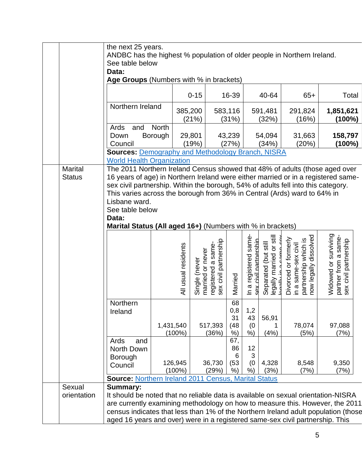|                                                                                                                                                                                                                                                                                                                                                                                                                                                                                 |                       | the next 25 years.<br>ANDBC has the highest % population of older people in Northern Ireland.<br>See table below<br>Data:                                                                                                                                                                                                                                    |                         |                                        |                                             |                                 |                                                          |                                                                 |                                                                                                 |                                                                               |  |
|---------------------------------------------------------------------------------------------------------------------------------------------------------------------------------------------------------------------------------------------------------------------------------------------------------------------------------------------------------------------------------------------------------------------------------------------------------------------------------|-----------------------|--------------------------------------------------------------------------------------------------------------------------------------------------------------------------------------------------------------------------------------------------------------------------------------------------------------------------------------------------------------|-------------------------|----------------------------------------|---------------------------------------------|---------------------------------|----------------------------------------------------------|-----------------------------------------------------------------|-------------------------------------------------------------------------------------------------|-------------------------------------------------------------------------------|--|
|                                                                                                                                                                                                                                                                                                                                                                                                                                                                                 |                       | Age Groups (Numbers with % in brackets)                                                                                                                                                                                                                                                                                                                      |                         |                                        |                                             |                                 |                                                          |                                                                 |                                                                                                 |                                                                               |  |
|                                                                                                                                                                                                                                                                                                                                                                                                                                                                                 |                       |                                                                                                                                                                                                                                                                                                                                                              |                         | $0 - 15$                               |                                             | 16-39                           |                                                          | 40-64                                                           | $65+$                                                                                           | Total                                                                         |  |
|                                                                                                                                                                                                                                                                                                                                                                                                                                                                                 |                       | Northern Ireland                                                                                                                                                                                                                                                                                                                                             |                         | 385,200<br>(21%)                       |                                             | 583,116<br>(31%)                |                                                          | 591,481<br>(32%)                                                | 291,824<br>(16%)                                                                                | 1,851,621<br>(100%)                                                           |  |
|                                                                                                                                                                                                                                                                                                                                                                                                                                                                                 |                       | Ards<br>and<br>Down<br>Council<br><b>Sources: Demography and Methodology Branch, NISRA</b>                                                                                                                                                                                                                                                                   | <b>North</b><br>Borough | 29,801<br>(19%)                        |                                             | 43,239<br>(27%)                 |                                                          | 54,094<br>(34%)                                                 | 31,663<br>(20%)                                                                                 | 158,797<br>(100%)                                                             |  |
|                                                                                                                                                                                                                                                                                                                                                                                                                                                                                 |                       | <b>World Health Organization</b>                                                                                                                                                                                                                                                                                                                             |                         |                                        |                                             |                                 |                                                          |                                                                 |                                                                                                 |                                                                               |  |
| <b>Marital</b><br>The 2011 Northern Ireland Census showed that 48% of adults (those aged over<br>16 years of age) in Northern Ireland were either married or in a registered same-<br><b>Status</b><br>sex civil partnership. Within the borough, 54% of adults fell into this category.<br>This varies across the borough from 36% in Central (Ards) ward to 64% in<br>Lisbane ward.<br>See table below<br>Data:<br>Marital Status (All aged 16+) (Numbers with % in brackets) |                       |                                                                                                                                                                                                                                                                                                                                                              |                         |                                        |                                             |                                 |                                                          |                                                                 |                                                                                                 |                                                                               |  |
|                                                                                                                                                                                                                                                                                                                                                                                                                                                                                 |                       |                                                                                                                                                                                                                                                                                                                                                              | All usual residents     | married or never<br>(never<br>Single ( | sex civil partnership<br>registered a same- | Married                         | In a registered same-<br>civil nartnershin<br><b>ZUS</b> | legally married or still<br>(but still<br>Separated<br>منعللمهم | dissolved<br>Divorced or formerly<br>partnership which is<br>in a same-sex civil<br>now legally | Widowed or surviving<br>same-<br>partner from a same<br>sex civil partnership |  |
|                                                                                                                                                                                                                                                                                                                                                                                                                                                                                 |                       | Northern<br>Ireland                                                                                                                                                                                                                                                                                                                                          | 1,431,540<br>$(100\%)$  |                                        | 517,393<br>(36%)                            | 68<br>0,8<br>31<br>(48)<br>%)   | 1,2<br>43<br>(0)<br>%)                                   | 56,91<br>1<br>(4%)                                              | 78,074<br>(5%)                                                                                  | 97,088<br>(7%)                                                                |  |
|                                                                                                                                                                                                                                                                                                                                                                                                                                                                                 |                       | Ards<br>and<br>North Down<br>Borough<br>Council<br><b>Source: Northern Ireland 2011 Census, Marital Status</b>                                                                                                                                                                                                                                               | 126,945<br>$(100\%)$    |                                        | 36,730<br>(29%)                             | 67,<br>86<br>6<br>(53)<br>$%$ ) | 12<br>3<br>(0)<br>%)                                     | 4,328<br>(3%)                                                   | 8,548<br>(7%)                                                                                   | 9,350<br>(7%)                                                                 |  |
|                                                                                                                                                                                                                                                                                                                                                                                                                                                                                 | Sexual<br>orientation | <b>Summary:</b><br>It should be noted that no reliable data is available on sexual orientation-NISRA<br>are currently examining methodology on how to measure this. However, the 2011<br>census indicates that less than 1% of the Northern Ireland adult population (those<br>aged 16 years and over) were in a registered same-sex civil partnership. This |                         |                                        |                                             |                                 |                                                          |                                                                 |                                                                                                 |                                                                               |  |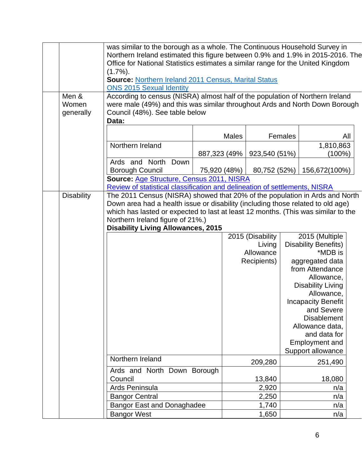|                    | was similar to the borough as a whole. The Continuous Household Survey in<br>Northern Ireland estimated this figure between 0.9% and 1.9% in 2015-2016. The<br>Office for National Statistics estimates a similar range for the United Kingdom<br>$(1.7\%)$ . |               |              |                  |                |                                        |     |
|--------------------|---------------------------------------------------------------------------------------------------------------------------------------------------------------------------------------------------------------------------------------------------------------|---------------|--------------|------------------|----------------|----------------------------------------|-----|
|                    | <b>Source: Northern Ireland 2011 Census, Marital Status</b><br><b>ONS 2015 Sexual Identity</b>                                                                                                                                                                |               |              |                  |                |                                        |     |
| Men &              | According to census (NISRA) almost half of the population of Northern Ireland                                                                                                                                                                                 |               |              |                  |                |                                        |     |
| Women<br>generally | were male (49%) and this was similar throughout Ards and North Down Borough<br>Council (48%). See table below<br>Data:                                                                                                                                        |               |              |                  |                |                                        |     |
|                    |                                                                                                                                                                                                                                                               |               | <b>Males</b> |                  | Females        |                                        | All |
|                    | Northern Ireland                                                                                                                                                                                                                                              |               |              |                  |                | 1,810,863                              |     |
|                    | Ards and North<br>Down                                                                                                                                                                                                                                        | 887,323 (49%) |              | 923,540 (51%)    |                | (100%)                                 |     |
|                    | <b>Borough Council</b>                                                                                                                                                                                                                                        | 75,920 (48%)  |              | 80,752 (52%)     |                | 156,672(100%)                          |     |
|                    | Source: Age Structure, Census 2011, NISRA                                                                                                                                                                                                                     |               |              |                  |                |                                        |     |
|                    | Review of statistical classification and delineation of settlements, NISRA                                                                                                                                                                                    |               |              |                  |                |                                        |     |
| <b>Disability</b>  | The 2011 Census (NISRA) showed that 20% of the population in Ards and North                                                                                                                                                                                   |               |              |                  |                |                                        |     |
|                    | Down area had a health issue or disability (including those related to old age)                                                                                                                                                                               |               |              |                  |                |                                        |     |
|                    | which has lasted or expected to last at least 12 months. (This was similar to the                                                                                                                                                                             |               |              |                  |                |                                        |     |
|                    | Northern Ireland figure of 21%.)<br><b>Disability Living Allowances, 2015</b>                                                                                                                                                                                 |               |              |                  |                |                                        |     |
|                    |                                                                                                                                                                                                                                                               |               |              | 2015 (Disability | 2015 (Multiple |                                        |     |
|                    |                                                                                                                                                                                                                                                               |               |              | Living           |                | <b>Disability Benefits)</b>            |     |
|                    |                                                                                                                                                                                                                                                               |               |              | Allowance        |                | *MDB is                                |     |
|                    |                                                                                                                                                                                                                                                               |               |              | Recipients)      |                | aggregated data                        |     |
|                    |                                                                                                                                                                                                                                                               |               |              |                  |                | from Attendance                        |     |
|                    |                                                                                                                                                                                                                                                               |               |              |                  |                | Allowance,<br><b>Disability Living</b> |     |
|                    |                                                                                                                                                                                                                                                               |               |              |                  |                | Allowance,                             |     |
|                    |                                                                                                                                                                                                                                                               |               |              |                  |                | <b>Incapacity Benefit</b>              |     |
|                    |                                                                                                                                                                                                                                                               |               |              |                  |                | and Severe                             |     |
|                    |                                                                                                                                                                                                                                                               |               |              |                  |                | <b>Disablement</b>                     |     |
|                    |                                                                                                                                                                                                                                                               |               |              |                  |                | Allowance data,                        |     |
|                    |                                                                                                                                                                                                                                                               |               |              |                  |                | and data for                           |     |
|                    |                                                                                                                                                                                                                                                               |               |              |                  |                | <b>Employment and</b>                  |     |
|                    | Northern Ireland                                                                                                                                                                                                                                              |               |              |                  |                | Support allowance                      |     |
|                    | Ards and North Down Borough                                                                                                                                                                                                                                   |               |              | 209,280          |                | 251,490                                |     |
|                    | Council                                                                                                                                                                                                                                                       |               |              | 13,840           |                | 18,080                                 |     |
|                    | Ards Peninsula                                                                                                                                                                                                                                                |               |              | 2,920            |                | n/a                                    |     |
|                    | <b>Bangor Central</b>                                                                                                                                                                                                                                         |               |              | 2,250            |                | n/a                                    |     |
|                    | <b>Bangor East and Donaghadee</b>                                                                                                                                                                                                                             |               |              | 1,740            |                | n/a                                    |     |
|                    | <b>Bangor West</b>                                                                                                                                                                                                                                            |               |              | 1,650            |                | n/a                                    |     |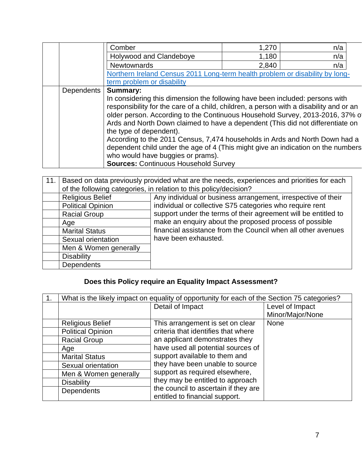|            | Comber                                                                                 | 1,270 | n/a |  |  |  |
|------------|----------------------------------------------------------------------------------------|-------|-----|--|--|--|
|            | Holywood and Clandeboye                                                                | 1,180 | n/a |  |  |  |
|            | <b>Newtownards</b>                                                                     | 2,840 | n/a |  |  |  |
|            | Northern Ireland Census 2011 Long-term health problem or disability by long-           |       |     |  |  |  |
|            | term problem or disability                                                             |       |     |  |  |  |
| Dependents | <b>Summary:</b>                                                                        |       |     |  |  |  |
|            | In considering this dimension the following have been included: persons with           |       |     |  |  |  |
|            | responsibility for the care of a child, children, a person with a disability and or an |       |     |  |  |  |
|            | older person. According to the Continuous Household Survey, 2013-2016, 37% of          |       |     |  |  |  |
|            | Ards and North Down claimed to have a dependent (This did not differentiate on         |       |     |  |  |  |
|            | the type of dependent).                                                                |       |     |  |  |  |
|            | According to the 2011 Census, 7,474 households in Ards and North Down had a            |       |     |  |  |  |
|            | dependent child under the age of 4 (This might give an indication on the numbers       |       |     |  |  |  |
|            | who would have buggies or prams).                                                      |       |     |  |  |  |
|            | <b>Sources: Continuous Household Survey</b>                                            |       |     |  |  |  |

| 11.1 | Based on data previously provided what are the needs, experiences and priorities for each<br>of the following categories, in relation to this policy/decision? |                                                                                                                           |  |  |  |  |
|------|----------------------------------------------------------------------------------------------------------------------------------------------------------------|---------------------------------------------------------------------------------------------------------------------------|--|--|--|--|
|      | <b>Religious Belief</b><br><b>Political Opinion</b>                                                                                                            | Any individual or business arrangement, irrespective of their<br>individual or collective S75 categories who require rent |  |  |  |  |
|      | <b>Racial Group</b>                                                                                                                                            | support under the terms of their agreement will be entitled to                                                            |  |  |  |  |
|      | Age                                                                                                                                                            | make an enquiry about the proposed process of possible                                                                    |  |  |  |  |
|      | <b>Marital Status</b>                                                                                                                                          | financial assistance from the Council when all other avenues                                                              |  |  |  |  |
|      | Sexual orientation                                                                                                                                             | have been exhausted.                                                                                                      |  |  |  |  |
|      | Men & Women generally                                                                                                                                          |                                                                                                                           |  |  |  |  |
|      | <b>Disability</b>                                                                                                                                              |                                                                                                                           |  |  |  |  |
|      | <b>Dependents</b>                                                                                                                                              |                                                                                                                           |  |  |  |  |

# **Does this Policy require an Equality Impact Assessment?**

| $\mathbf 1$ . |                          | What is the likely impact on equality of opportunity for each of the Section 75 categories? |                  |  |  |  |  |
|---------------|--------------------------|---------------------------------------------------------------------------------------------|------------------|--|--|--|--|
|               |                          | Detail of Impact                                                                            | Level of Impact  |  |  |  |  |
|               |                          |                                                                                             | Minor/Major/None |  |  |  |  |
|               | <b>Religious Belief</b>  | This arrangement is set on clear                                                            | <b>None</b>      |  |  |  |  |
|               | <b>Political Opinion</b> | criteria that identifies that where                                                         |                  |  |  |  |  |
|               | <b>Racial Group</b>      | an applicant demonstrates they                                                              |                  |  |  |  |  |
|               | Age                      | have used all potential sources of                                                          |                  |  |  |  |  |
|               | <b>Marital Status</b>    | support available to them and                                                               |                  |  |  |  |  |
|               | Sexual orientation       | they have been unable to source                                                             |                  |  |  |  |  |
|               | Men & Women generally    | support as required elsewhere,                                                              |                  |  |  |  |  |
|               | <b>Disability</b>        | they may be entitled to approach                                                            |                  |  |  |  |  |
|               | <b>Dependents</b>        | the council to ascertain if they are                                                        |                  |  |  |  |  |
|               |                          | entitled to financial support.                                                              |                  |  |  |  |  |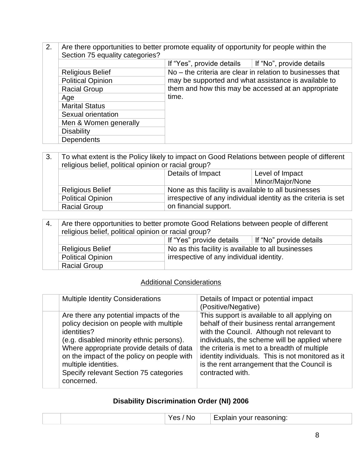2. Are there opportunities to better promote equality of opportunity for people within the Section 75 equality categories?

|                          | If "Yes", provide details                                  | If "No", provide details |  |  |  |  |  |
|--------------------------|------------------------------------------------------------|--------------------------|--|--|--|--|--|
| <b>Religious Belief</b>  | No – the criteria are clear in relation to businesses that |                          |  |  |  |  |  |
| <b>Political Opinion</b> | may be supported and what assistance is available to       |                          |  |  |  |  |  |
| <b>Racial Group</b>      | them and how this may be accessed at an appropriate        |                          |  |  |  |  |  |
| Age                      | time.                                                      |                          |  |  |  |  |  |
| <b>Marital Status</b>    |                                                            |                          |  |  |  |  |  |
| Sexual orientation       |                                                            |                          |  |  |  |  |  |
| Men & Women generally    |                                                            |                          |  |  |  |  |  |
| <b>Disability</b>        |                                                            |                          |  |  |  |  |  |
| <b>Dependents</b>        |                                                            |                          |  |  |  |  |  |

3. To what extent is the Policy likely to impact on Good Relations between people of different religious belief, political opinion or racial group?

|                          | Details of Impact                                              | Level of Impact  |  |  |  |  |
|--------------------------|----------------------------------------------------------------|------------------|--|--|--|--|
|                          |                                                                | Minor/Major/None |  |  |  |  |
| <b>Religious Belief</b>  | None as this facility is available to all businesses           |                  |  |  |  |  |
| <b>Political Opinion</b> | irrespective of any individual identity as the criteria is set |                  |  |  |  |  |
| <b>Racial Group</b>      | on financial support.                                          |                  |  |  |  |  |

| -4.                 | Are there opportunities to better promote Good Relations between people of different |                                          |  |  |
|---------------------|--------------------------------------------------------------------------------------|------------------------------------------|--|--|
|                     | religious belief, political opinion or racial group?                                 |                                          |  |  |
|                     | If "Yes" provide details<br>∣ If "No" provide details                                |                                          |  |  |
|                     | No as this facility is available to all businesses<br><b>Religious Belief</b>        |                                          |  |  |
|                     | <b>Political Opinion</b>                                                             | irrespective of any individual identity. |  |  |
| <b>Racial Group</b> |                                                                                      |                                          |  |  |

#### Additional Considerations

| <b>Multiple Identity Considerations</b>                                                                                                                                                                                                                                                                                 | Details of Impact or potential impact<br>(Positive/Negative)                                                                                                                                                                                                                                                                                                       |
|-------------------------------------------------------------------------------------------------------------------------------------------------------------------------------------------------------------------------------------------------------------------------------------------------------------------------|--------------------------------------------------------------------------------------------------------------------------------------------------------------------------------------------------------------------------------------------------------------------------------------------------------------------------------------------------------------------|
| Are there any potential impacts of the<br>policy decision on people with multiple<br>identities?<br>(e.g. disabled minority ethnic persons).<br>Where appropriate provide details of data<br>on the impact of the policy on people with<br>multiple identities.<br>Specify relevant Section 75 categories<br>concerned. | This support is available to all applying on<br>behalf of their business rental arrangement<br>with the Council. Although not relevant to<br>individuals, the scheme will be applied where<br>the criteria is met to a breadth of multiple<br>identity individuals. This is not monitored as it<br>is the rent arrangement that the Council is<br>contracted with. |

### **Disability Discrimination Order (NI) 2006**

|  | 'NC.<br>$\sim$ | _<br>reasoning:<br>ап<br><b>MOUL</b> |
|--|----------------|--------------------------------------|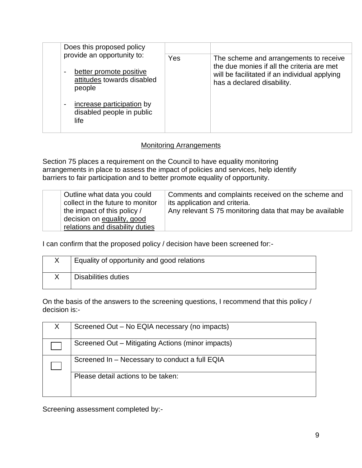|                                                                                   | Does this proposed policy<br>provide an opportunity to:                                    | Yes                                                                         | The scheme and arrangements to receive<br>the due monies if all the criteria are met |
|-----------------------------------------------------------------------------------|--------------------------------------------------------------------------------------------|-----------------------------------------------------------------------------|--------------------------------------------------------------------------------------|
| better promote positive<br>$\blacksquare$<br>attitudes towards disabled<br>people |                                                                                            | will be facilitated if an individual applying<br>has a declared disability. |                                                                                      |
|                                                                                   | increase participation by<br>$\overline{\phantom{a}}$<br>disabled people in public<br>life |                                                                             |                                                                                      |

#### Monitoring Arrangements

Section 75 places a requirement on the Council to have equality monitoring arrangements in place to assess the impact of policies and services, help identify barriers to fair participation and to better promote equality of opportunity.

| Outline what data you could<br>collect in the future to monitor<br>the impact of this policy / | Comments and complaints received on the scheme and<br>its application and criteria.<br>Any relevant S 75 monitoring data that may be available |
|------------------------------------------------------------------------------------------------|------------------------------------------------------------------------------------------------------------------------------------------------|
| decision on equality, good<br>relations and disability duties                                  |                                                                                                                                                |

I can confirm that the proposed policy / decision have been screened for:-

| Equality of opportunity and good relations |
|--------------------------------------------|
| Disabilities duties                        |

On the basis of the answers to the screening questions, I recommend that this policy / decision is:-

| Screened Out – No EQIA necessary (no impacts)     |
|---------------------------------------------------|
| Screened Out - Mitigating Actions (minor impacts) |
| Screened In - Necessary to conduct a full EQIA    |
| Please detail actions to be taken:                |

Screening assessment completed by:-